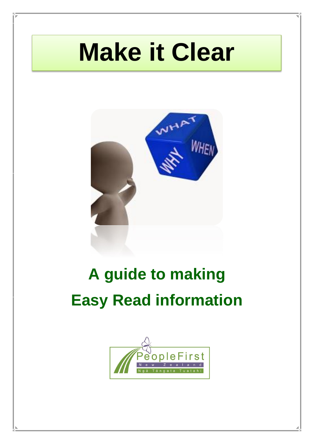# **Make it Clear**



## **A guide to making Easy Read information**

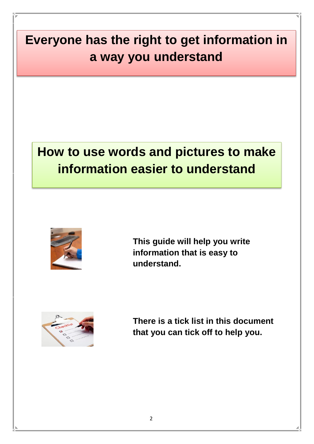### **Everyone has the right to get information in a way you understand**

### **How to use words and pictures to make information easier to understand**



**This guide will help you write information that is easy to understand.** 



**There is a tick list in this document that you can tick off to help you.**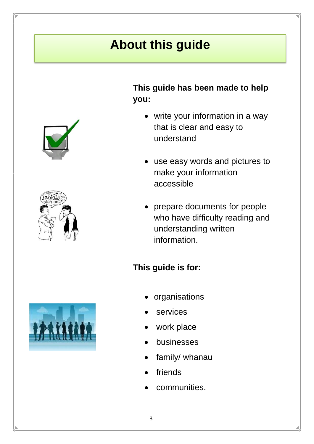### **About this guide**





#### **This guide has been made to help you:**

- write your information in a way that is clear and easy to understand
- use easy words and pictures to make your information accessible
- prepare documents for people who have difficulty reading and understanding written information.

#### **This guide is for:**



- organisations
- services
- work place
- businesses
- family/ whanau
- friends
- communities.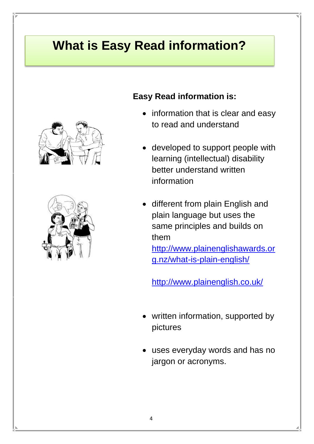### **What is Easy Read information?**





#### **Easy Read information is:**

- information that is clear and easy to read and understand
- developed to support people with learning (intellectual) disability better understand written information
- different from plain English and plain language but uses the same principles and builds on them

[http://www.plainenglishawards.or](http://www.plainenglishawards.org.nz/what-is-plain-english/) [g.nz/what-is-plain-english/](http://www.plainenglishawards.org.nz/what-is-plain-english/)

<http://www.plainenglish.co.uk/>

- written information, supported by pictures
- uses everyday words and has no jargon or acronyms.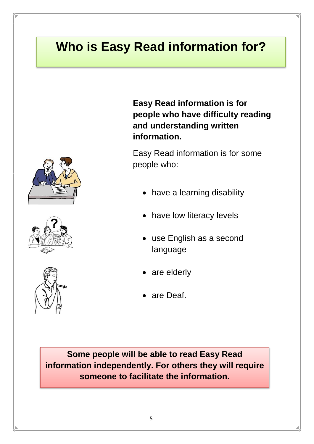### **Who is Easy Read information for?**







**Easy Read information is for people who have difficulty reading and understanding written information.**

Easy Read information is for some people who:

- have a learning disability
- have low literacy levels
- use English as a second language
- are elderly
- are Deaf.

**Some people will be able to read Easy Read information independently. For others they will require someone to facilitate the information.**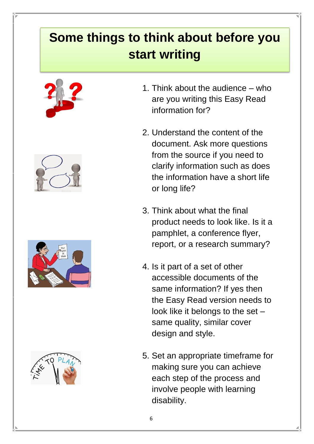### **Some things to think about before you start writing**









- 1. Think about the audience who are you writing this Easy Read information for?
- 2. Understand the content of the document. Ask more questions from the source if you need to clarify information such as does the information have a short life or long life?
- 3. Think about what the final product needs to look like. Is it a pamphlet, a conference flyer, report, or a research summary?
- 4. Is it part of a set of other accessible documents of the same information? If yes then the Easy Read version needs to look like it belongs to the set – same quality, similar cover design and style.
- 5. Set an appropriate timeframe for making sure you can achieve each step of the process and involve people with learning disability.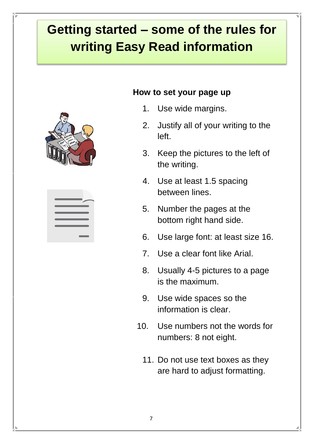### **Getting started – some of the rules for writing Easy Read information**



| ـ |
|---|
|   |
| _ |
|   |
|   |

#### **How to set your page up**

- 1. Use wide margins.
- 2. Justify all of your writing to the left.
- 3. Keep the pictures to the left of the writing.
- 4. Use at least 1.5 spacing between lines.
- 5. Number the pages at the bottom right hand side.
- 6. Use large font: at least size 16.
- 7. Use a clear font like Arial.
- 8. Usually 4-5 pictures to a page is the maximum.
- 9. Use wide spaces so the information is clear.
- 10. Use numbers not the words for numbers: 8 not eight.
	- 11. Do not use text boxes as they are hard to adjust formatting.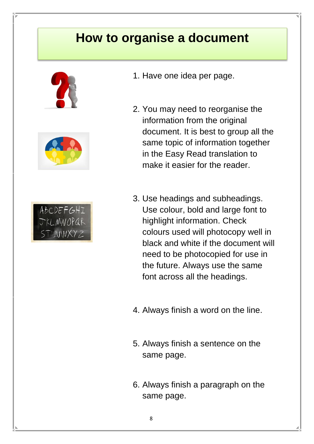#### **How to organise a document**







- 1. Have one idea per page.
- 2. You may need to reorganise the information from the original document. It is best to group all the same topic of information together in the Easy Read translation to make it easier for the reader.
- 3. Use headings and subheadings. Use colour, bold and large font to highlight information. Check colours used will photocopy well in black and white if the document will need to be photocopied for use in the future. Always use the same font across all the headings.
- 4. Always finish a word on the line.
- 5. Always finish a sentence on the same page.
- 6. Always finish a paragraph on the same page.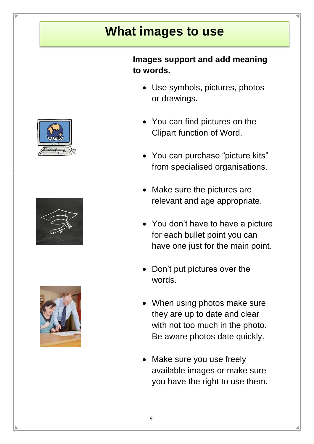#### **What images to use**



- Use symbols, pictures, photos or drawings.
- You can find pictures on the Clipart function of Word.
- You can purchase "picture kits" from specialised organisations.
- Make sure the pictures are relevant and age appropriate.
- You don't have to have a picture for each bullet point you can have one just for the main point.
- Don't put pictures over the words.
- When using photos make sure they are up to date and clear with not too much in the photo. Be aware photos date quickly.
- Make sure you use freely available images or make sure you have the right to use them.





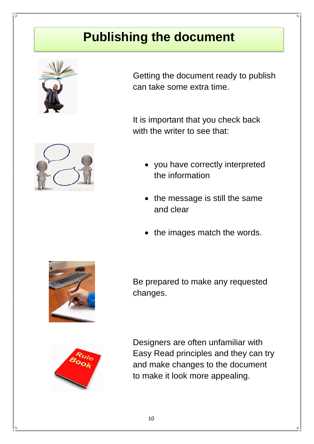#### **Publishing the document**



Getting the document ready to publish can take some extra time.

It is important that you check back with the writer to see that:



- you have correctly interpreted the information
- $\bullet$  the message is still the same and clear
- the images match the words.



Be prepared to make any requested changes.



Designers are often unfamiliar with Easy Read principles and they can try and make changes to the document to make it look more appealing.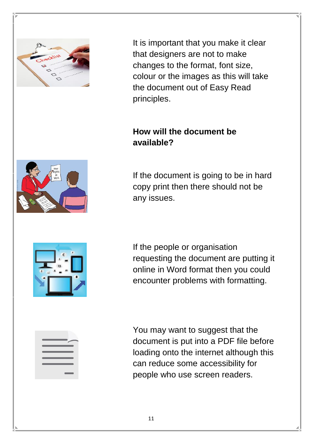

It is important that you make it clear that designers are not to make changes to the format, font size, colour or the images as this will take the document out of Easy Read principles.

#### **How will the document be available?**



If the document is going to be in hard copy print then there should not be any issues.



If the people or organisation requesting the document are putting it online in Word format then you could encounter problems with formatting.

You may want to suggest that the document is put into a PDF file before loading onto the internet although this can reduce some accessibility for people who use screen readers.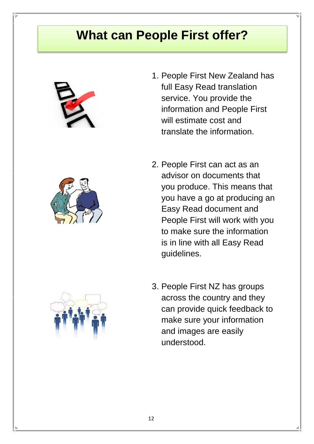#### **What can People First offer?**





- 1. People First New Zealand has full Easy Read translation service. You provide the information and People First will estimate cost and translate the information.
- 2. People First can act as an advisor on documents that you produce. This means that you have a go at producing an Easy Read document and People First will work with you to make sure the information is in line with all Easy Read guidelines.
- 3. People First NZ has groups across the country and they can provide quick feedback to make sure your information and images are easily understood.

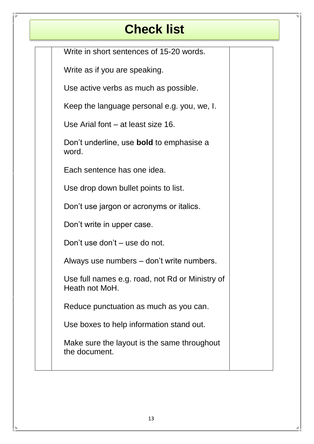#### **Check list**

Write in short sentences of 15-20 words.

| Write as if you are speaking.                                     |  |
|-------------------------------------------------------------------|--|
| Use active verbs as much as possible.                             |  |
| Keep the language personal e.g. you, we, I.                       |  |
| Use Arial font – at least size 16.                                |  |
| Don't underline, use <b>bold</b> to emphasise a<br>word.          |  |
| Each sentence has one idea.                                       |  |
| Use drop down bullet points to list.                              |  |
| Don't use jargon or acronyms or italics.                          |  |
| Don't write in upper case.                                        |  |
| Don't use don't – use do not.                                     |  |
| Always use numbers – don't write numbers.                         |  |
| Use full names e.g. road, not Rd or Ministry of<br>Heath not MoH. |  |
| Reduce punctuation as much as you can.                            |  |
| Use boxes to help information stand out.                          |  |
| Make sure the layout is the same throughout<br>the document.      |  |